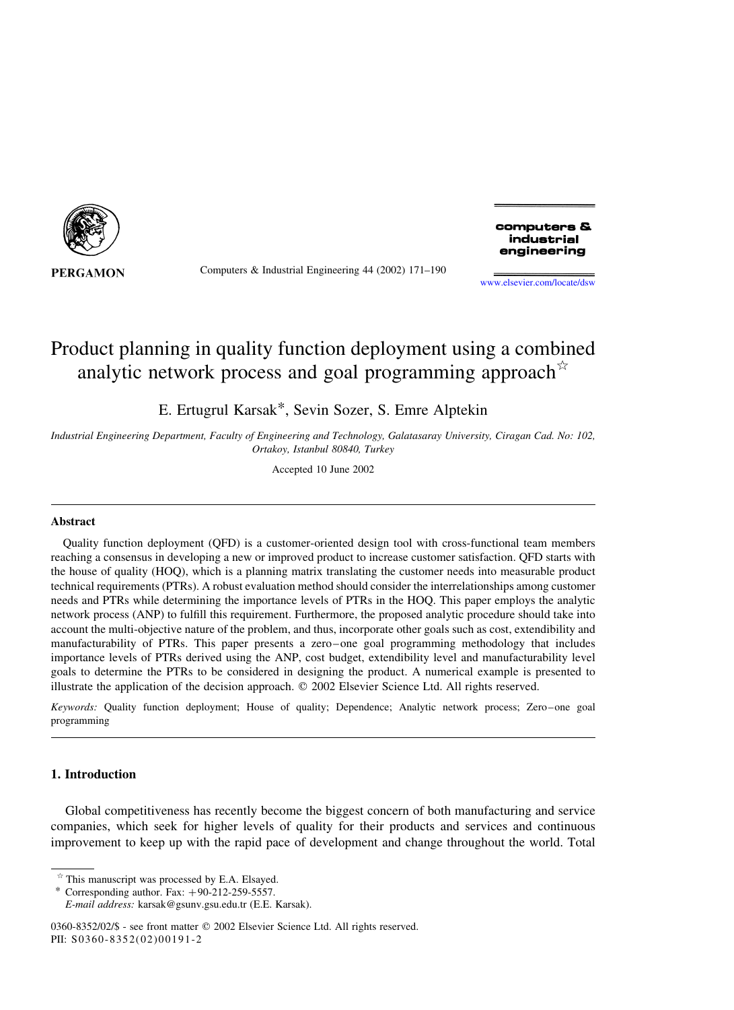

Computers & Industrial Engineering 44 (2002) 171–190

**computers &** industrial engineering

[www.elsevier.com/locate/dsw](http://www.elsevier.com/locate/dsw)

## Product planning in quality function deployment using a combined analytic network process and goal programming approach  $\overline{a}$

E. Ertugrul Karsak\*, Sevin Sozer, S. Emre Alptekin

Industrial Engineering Department, Faculty of Engineering and Technology, Galatasaray University, Ciragan Cad. No: 102, Ortakoy, Istanbul 80840, Turkey

Accepted 10 June 2002

### Abstract

Quality function deployment (QFD) is a customer-oriented design tool with cross-functional team members reaching a consensus in developing a new or improved product to increase customer satisfaction. QFD starts with the house of quality (HOQ), which is a planning matrix translating the customer needs into measurable product technical requirements (PTRs). A robust evaluation method should consider the interrelationships among customer needs and PTRs while determining the importance levels of PTRs in the HOQ. This paper employs the analytic network process (ANP) to fulfill this requirement. Furthermore, the proposed analytic procedure should take into account the multi-objective nature of the problem, and thus, incorporate other goals such as cost, extendibility and manufacturability of PTRs. This paper presents a zero–one goal programming methodology that includes importance levels of PTRs derived using the ANP, cost budget, extendibility level and manufacturability level goals to determine the PTRs to be considered in designing the product. A numerical example is presented to illustrate the application of the decision approach.  $\oslash$  2002 Elsevier Science Ltd. All rights reserved.

Keywords: Quality function deployment; House of quality; Dependence; Analytic network process; Zero–one goal programming

## 1. Introduction

Global competitiveness has recently become the biggest concern of both manufacturing and service companies, which seek for higher levels of quality for their products and services and continuous improvement to keep up with the rapid pace of development and change throughout the world. Total

 $\overrightarrow{r}$  This manuscript was processed by E.A. Elsayed.

Corresponding author. Fax:  $+90-212-259-5557$ .

E-mail address: karsak@gsunv.gsu.edu.tr (E.E. Karsak).

<sup>0360-8352/02/\$ -</sup> see front matter © 2002 Elsevier Science Ltd. All rights reserved. PII: S0360-8352(02)00191-2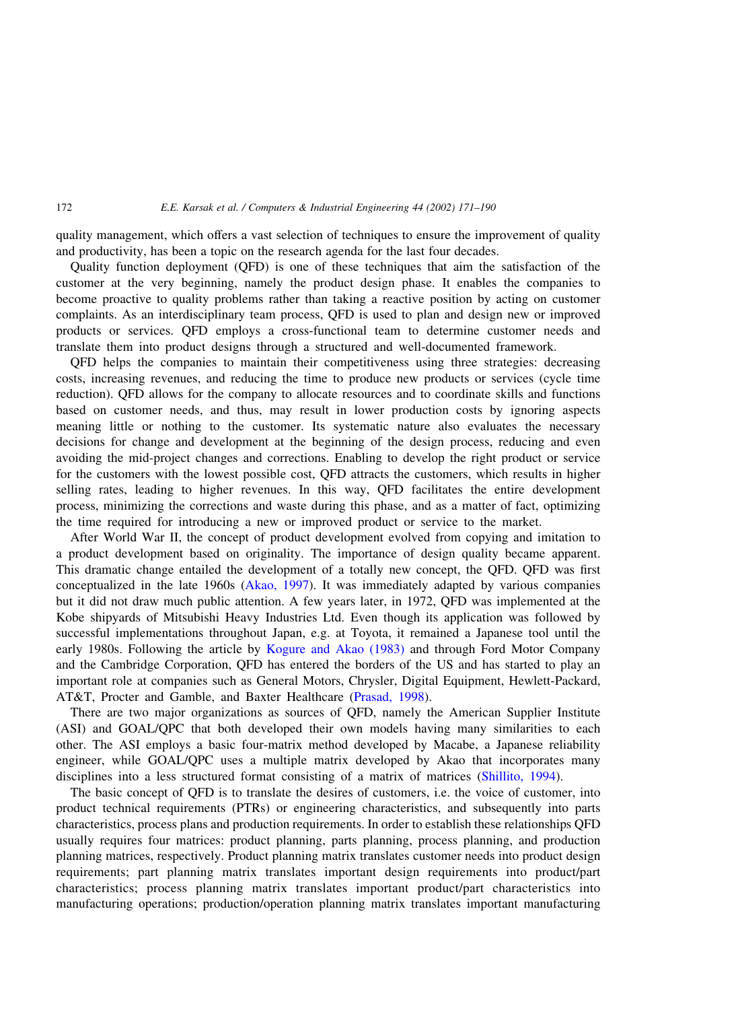### 172 E.E. Karsak et al. / Computers & Industrial Engineering 44 (2002) 171–190

quality management, which offers a vast selection of techniques to ensure the improvement of quality and productivity, has been a topic on the research agenda for the last four decades.

Quality function deployment (QFD) is one of these techniques that aim the satisfaction of the customer at the very beginning, namely the product design phase. It enables the companies to become proactive to quality problems rather than taking a reactive position by acting on customer complaints. As an interdisciplinary team process, QFD is used to plan and design new or improved products or services. QFD employs a cross-functional team to determine customer needs and translate them into product designs through a structured and well-documented framework.

QFD helps the companies to maintain their competitiveness using three strategies: decreasing costs, increasing revenues, and reducing the time to produce new products or services (cycle time reduction). QFD allows for the company to allocate resources and to coordinate skills and functions based on customer needs, and thus, may result in lower production costs by ignoring aspects meaning little or nothing to the customer. Its systematic nature also evaluates the necessary decisions for change and development at the beginning of the design process, reducing and even avoiding the mid-project changes and corrections. Enabling to develop the right product or service for the customers with the lowest possible cost, QFD attracts the customers, which results in higher selling rates, leading to higher revenues. In this way, QFD facilitates the entire development process, minimizing the corrections and waste during this phase, and as a matter of fact, optimizing the time required for introducing a new or improved product or service to the market.

After World War II, the concept of product development evolved from copying and imitation to a product development based on originality. The importance of design quality became apparent. This dramatic change entailed the development of a totally new concept, the QFD. QFD was first conceptualized in the late 1960s ([Akao, 1997\)](#page--1-0). It was immediately adapted by various companies but it did not draw much public attention. A few years later, in 1972, QFD was implemented at the Kobe shipyards of Mitsubishi Heavy Industries Ltd. Even though its application was followed by successful implementations throughout Japan, e.g. at Toyota, it remained a Japanese tool until the early 1980s. Following the article by [Kogure and Akao \(1983\)](#page--1-0) and through Ford Motor Company and the Cambridge Corporation, QFD has entered the borders of the US and has started to play an important role at companies such as General Motors, Chrysler, Digital Equipment, Hewlett-Packard, AT&T, Procter and Gamble, and Baxter Healthcare [\(Prasad, 1998](#page--1-0)).

There are two major organizations as sources of QFD, namely the American Supplier Institute (ASI) and GOAL/QPC that both developed their own models having many similarities to each other. The ASI employs a basic four-matrix method developed by Macabe, a Japanese reliability engineer, while GOAL/QPC uses a multiple matrix developed by Akao that incorporates many disciplines into a less structured format consisting of a matrix of matrices ([Shillito, 1994\)](#page--1-0).

The basic concept of QFD is to translate the desires of customers, i.e. the voice of customer, into product technical requirements (PTRs) or engineering characteristics, and subsequently into parts characteristics, process plans and production requirements. In order to establish these relationships QFD usually requires four matrices: product planning, parts planning, process planning, and production planning matrices, respectively. Product planning matrix translates customer needs into product design requirements; part planning matrix translates important design requirements into product/part characteristics; process planning matrix translates important product/part characteristics into manufacturing operations; production/operation planning matrix translates important manufacturing